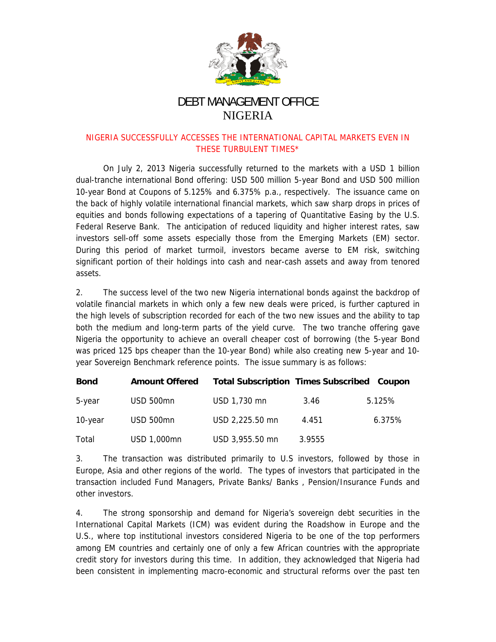

## **DEBT MANAGEMENT OFFICE NIGERIA**

## NIGERIA SUCCESSFULLY ACCESSES THE INTERNATIONAL CAPITAL MARKETS EVEN IN THESE TURBULENT TIMES\*

On July 2, 2013 Nigeria successfully returned to the markets with a USD 1 billion dual-tranche international Bond offering: USD 500 million 5-year Bond and USD 500 million 10-year Bond at Coupons of 5.125% and 6.375% p.a., respectively. The issuance came on the back of highly volatile international financial markets, which saw sharp drops in prices of equities and bonds following expectations of a tapering of Quantitative Easing by the U.S. Federal Reserve Bank. The anticipation of reduced liquidity and higher interest rates, saw investors sell-off some assets especially those from the Emerging Markets (EM) sector. During this period of market turmoil, investors became averse to EM risk, switching significant portion of their holdings into cash and near-cash assets and away from tenored assets.

 $2.$ The success level of the two new Nigeria international bonds against the backdrop of volatile financial markets in which only a few new deals were priced, is further captured in the high levels of subscription recorded for each of the two new issues and the ability to tap both the medium and long-term parts of the yield curve. The two tranche offering gave Nigeria the opportunity to achieve an overall cheaper cost of borrowing (the 5-year Bond was priced 125 bps cheaper than the 10-year Bond) while also creating new 5-year and 10year Sovereign Benchmark reference points. The issue summary is as follows:

| <b>Bond</b> | <b>Amount Offered</b> | <b>Total Subscription Times Subscribed Coupon</b> |        |        |
|-------------|-----------------------|---------------------------------------------------|--------|--------|
| 5-year      | USD 500mn             | USD 1,730 mn                                      | 3.46   | 5.125% |
| 10-year     | USD 500mn             | USD 2,225.50 mn                                   | 4.451  | 6.375% |
| Total       | USD 1,000mn           | USD 3,955.50 mn                                   | 3.9555 |        |

 $3.$ The transaction was distributed primarily to U.S investors, followed by those in Europe, Asia and other regions of the world. The types of investors that participated in the transaction included Fund Managers, Private Banks/ Banks, Pension/Insurance Funds and other investors.

4. The strong sponsorship and demand for Nigeria's sovereign debt securities in the International Capital Markets (ICM) was evident during the Roadshow in Europe and the U.S., where top institutional investors considered Nigeria to be one of the top performers among EM countries and certainly one of only a few African countries with the appropriate credit story for investors during this time. In addition, they acknowledged that Nigeria had been consistent in implementing macro-economic and structural reforms over the past ten